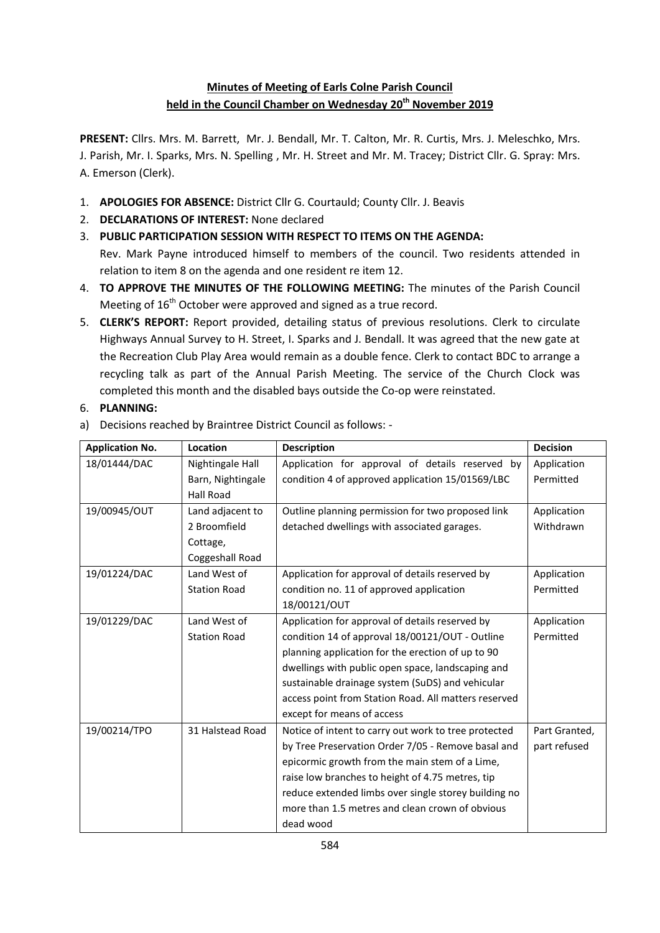# **Minutes of Meeting of Earls Colne Parish Council held in the Council Chamber on Wednesday 20th November 2019**

**PRESENT:** Cllrs. Mrs. M. Barrett, Mr. J. Bendall, Mr. T. Calton, Mr. R. Curtis, Mrs. J. Meleschko, Mrs. J. Parish, Mr. I. Sparks, Mrs. N. Spelling , Mr. H. Street and Mr. M. Tracey; District Cllr. G. Spray: Mrs. A. Emerson (Clerk).

- 1. **APOLOGIES FOR ABSENCE:** District Cllr G. Courtauld; County Cllr. J. Beavis
- 2. **DECLARATIONS OF INTEREST:** None declared
- 3. **PUBLIC PARTICIPATION SESSION WITH RESPECT TO ITEMS ON THE AGENDA:** Rev. Mark Payne introduced himself to members of the council. Two residents attended in relation to item 8 on the agenda and one resident re item 12.
- 4. **TO APPROVE THE MINUTES OF THE FOLLOWING MEETING:** The minutes of the Parish Council Meeting of 16<sup>th</sup> October were approved and signed as a true record.
- 5. **CLERK'S REPORT:** Report provided, detailing status of previous resolutions. Clerk to circulate Highways Annual Survey to H. Street, I. Sparks and J. Bendall. It was agreed that the new gate at the Recreation Club Play Area would remain as a double fence. Clerk to contact BDC to arrange a recycling talk as part of the Annual Parish Meeting. The service of the Church Clock was completed this month and the disabled bays outside the Co-op were reinstated.

## 6. **PLANNING:**

a) Decisions reached by Braintree District Council as follows: -

| <b>Application No.</b> | Location            | <b>Description</b>                                   | <b>Decision</b> |
|------------------------|---------------------|------------------------------------------------------|-----------------|
| 18/01444/DAC           | Nightingale Hall    | Application for approval of details reserved by      | Application     |
|                        | Barn, Nightingale   | condition 4 of approved application 15/01569/LBC     | Permitted       |
|                        | Hall Road           |                                                      |                 |
| 19/00945/OUT           | Land adjacent to    | Outline planning permission for two proposed link    | Application     |
|                        | 2 Broomfield        | detached dwellings with associated garages.          | Withdrawn       |
|                        | Cottage,            |                                                      |                 |
|                        | Coggeshall Road     |                                                      |                 |
| 19/01224/DAC           | Land West of        | Application for approval of details reserved by      | Application     |
|                        | <b>Station Road</b> | condition no. 11 of approved application             | Permitted       |
|                        |                     | 18/00121/OUT                                         |                 |
| 19/01229/DAC           | Land West of        | Application for approval of details reserved by      | Application     |
|                        | <b>Station Road</b> | condition 14 of approval 18/00121/OUT - Outline      | Permitted       |
|                        |                     | planning application for the erection of up to 90    |                 |
|                        |                     | dwellings with public open space, landscaping and    |                 |
|                        |                     | sustainable drainage system (SuDS) and vehicular     |                 |
|                        |                     | access point from Station Road. All matters reserved |                 |
|                        |                     | except for means of access                           |                 |
| 19/00214/TPO           | 31 Halstead Road    | Notice of intent to carry out work to tree protected | Part Granted,   |
|                        |                     | by Tree Preservation Order 7/05 - Remove basal and   | part refused    |
|                        |                     | epicormic growth from the main stem of a Lime,       |                 |
|                        |                     | raise low branches to height of 4.75 metres, tip     |                 |
|                        |                     | reduce extended limbs over single storey building no |                 |
|                        |                     | more than 1.5 metres and clean crown of obvious      |                 |
|                        |                     | dead wood                                            |                 |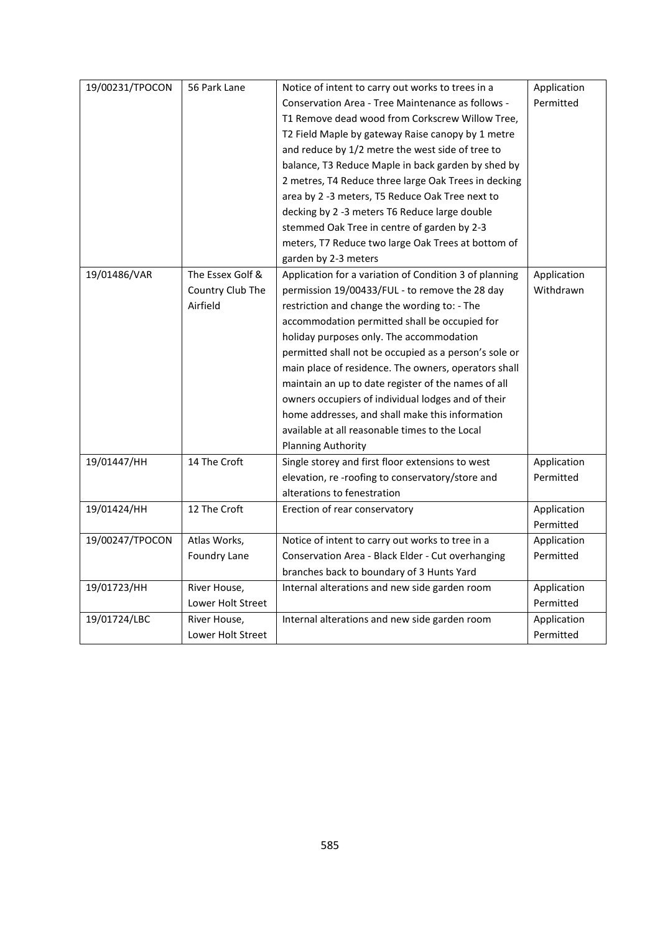| 19/00231/TPOCON | 56 Park Lane      | Notice of intent to carry out works to trees in a      | Application |
|-----------------|-------------------|--------------------------------------------------------|-------------|
|                 |                   | Conservation Area - Tree Maintenance as follows -      | Permitted   |
|                 |                   | T1 Remove dead wood from Corkscrew Willow Tree,        |             |
|                 |                   | T2 Field Maple by gateway Raise canopy by 1 metre      |             |
|                 |                   | and reduce by 1/2 metre the west side of tree to       |             |
|                 |                   | balance, T3 Reduce Maple in back garden by shed by     |             |
|                 |                   | 2 metres, T4 Reduce three large Oak Trees in decking   |             |
|                 |                   | area by 2 -3 meters, T5 Reduce Oak Tree next to        |             |
|                 |                   | decking by 2 -3 meters T6 Reduce large double          |             |
|                 |                   | stemmed Oak Tree in centre of garden by 2-3            |             |
|                 |                   | meters, T7 Reduce two large Oak Trees at bottom of     |             |
|                 |                   | garden by 2-3 meters                                   |             |
| 19/01486/VAR    | The Essex Golf &  | Application for a variation of Condition 3 of planning | Application |
|                 | Country Club The  | permission 19/00433/FUL - to remove the 28 day         | Withdrawn   |
|                 | Airfield          | restriction and change the wording to: - The           |             |
|                 |                   | accommodation permitted shall be occupied for          |             |
|                 |                   | holiday purposes only. The accommodation               |             |
|                 |                   | permitted shall not be occupied as a person's sole or  |             |
|                 |                   | main place of residence. The owners, operators shall   |             |
|                 |                   | maintain an up to date register of the names of all    |             |
|                 |                   | owners occupiers of individual lodges and of their     |             |
|                 |                   | home addresses, and shall make this information        |             |
|                 |                   | available at all reasonable times to the Local         |             |
|                 |                   | <b>Planning Authority</b>                              |             |
| 19/01447/HH     | 14 The Croft      | Single storey and first floor extensions to west       | Application |
|                 |                   | elevation, re-roofing to conservatory/store and        | Permitted   |
|                 |                   | alterations to fenestration                            |             |
| 19/01424/HH     | 12 The Croft      | Erection of rear conservatory                          | Application |
|                 |                   |                                                        | Permitted   |
| 19/00247/TPOCON | Atlas Works,      | Notice of intent to carry out works to tree in a       | Application |
|                 | Foundry Lane      | Conservation Area - Black Elder - Cut overhanging      | Permitted   |
|                 |                   | branches back to boundary of 3 Hunts Yard              |             |
| 19/01723/HH     | River House,      | Internal alterations and new side garden room          | Application |
|                 | Lower Holt Street |                                                        | Permitted   |
| 19/01724/LBC    | River House,      | Internal alterations and new side garden room          | Application |
|                 | Lower Holt Street |                                                        | Permitted   |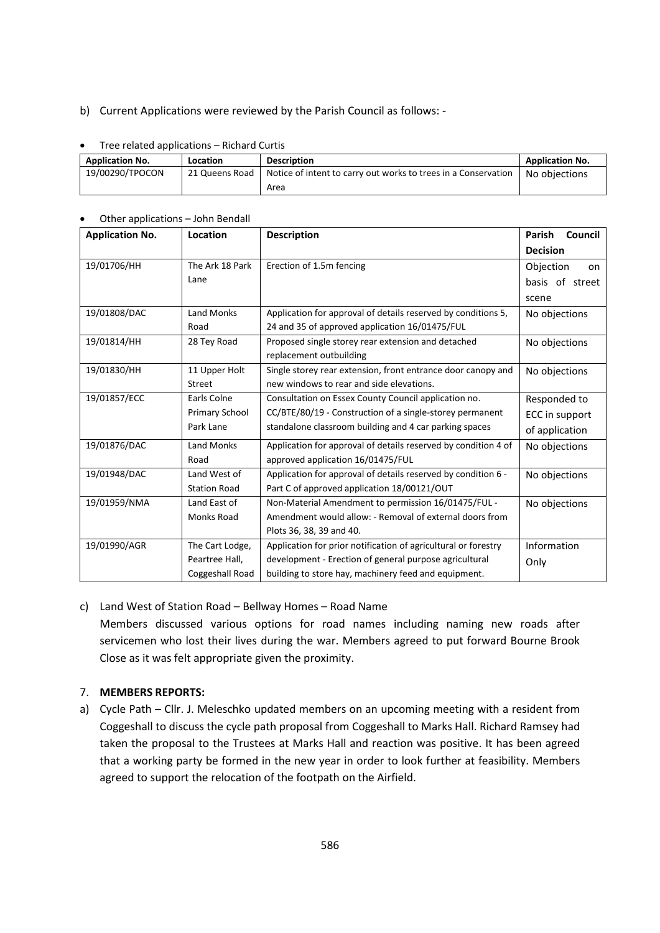#### b) Current Applications were reviewed by the Parish Council as follows: -

| The related applications<br>nichara caras |                |                                                                |                        |  |  |
|-------------------------------------------|----------------|----------------------------------------------------------------|------------------------|--|--|
| <b>Application No.</b>                    | Location       | <b>Description</b>                                             | <b>Application No.</b> |  |  |
| 19/00290/TPOCON                           | 21 Queens Road | Notice of intent to carry out works to trees in a Conservation | No objections          |  |  |
|                                           |                | Area                                                           |                        |  |  |

## Tree related applications – Richard Curtis

| Other applications – John Bendall |                     |                                                                |                          |  |
|-----------------------------------|---------------------|----------------------------------------------------------------|--------------------------|--|
| <b>Application No.</b>            | Location            | <b>Description</b>                                             | Council<br><b>Parish</b> |  |
|                                   |                     |                                                                | <b>Decision</b>          |  |
| 19/01706/HH                       | The Ark 18 Park     | Erection of 1.5m fencing                                       | Objection<br>on          |  |
|                                   | Lane                |                                                                | basis of street          |  |
|                                   |                     |                                                                | scene                    |  |
| 19/01808/DAC                      | Land Monks          | Application for approval of details reserved by conditions 5,  | No objections            |  |
|                                   | Road                | 24 and 35 of approved application 16/01475/FUL                 |                          |  |
| 19/01814/HH                       | 28 Tey Road         | Proposed single storey rear extension and detached             | No objections            |  |
|                                   |                     | replacement outbuilding                                        |                          |  |
| 19/01830/HH                       | 11 Upper Holt       | Single storey rear extension, front entrance door canopy and   | No objections            |  |
|                                   | <b>Street</b>       | new windows to rear and side elevations.                       |                          |  |
| 19/01857/ECC                      | Earls Colne         | Consultation on Essex County Council application no.           | Responded to             |  |
|                                   | Primary School      | CC/BTE/80/19 - Construction of a single-storey permanent       | ECC in support           |  |
|                                   | Park Lane           | standalone classroom building and 4 car parking spaces         | of application           |  |
| 19/01876/DAC                      | Land Monks          | Application for approval of details reserved by condition 4 of | No objections            |  |
|                                   | Road                | approved application 16/01475/FUL                              |                          |  |
| 19/01948/DAC                      | Land West of        | Application for approval of details reserved by condition 6 -  | No objections            |  |
|                                   | <b>Station Road</b> | Part C of approved application 18/00121/OUT                    |                          |  |
| 19/01959/NMA                      | Land East of        | Non-Material Amendment to permission 16/01475/FUL -            | No objections            |  |
|                                   | Monks Road          | Amendment would allow: - Removal of external doors from        |                          |  |
|                                   |                     | Plots 36, 38, 39 and 40.                                       |                          |  |
| 19/01990/AGR                      | The Cart Lodge,     | Application for prior notification of agricultural or forestry | Information              |  |
|                                   | Peartree Hall,      | development - Erection of general purpose agricultural         | Only                     |  |
|                                   | Coggeshall Road     | building to store hay, machinery feed and equipment.           |                          |  |

## Other applications – John Bendall

#### c) Land West of Station Road – Bellway Homes – Road Name

Members discussed various options for road names including naming new roads after servicemen who lost their lives during the war. Members agreed to put forward Bourne Brook Close as it was felt appropriate given the proximity.

#### 7. **MEMBERS REPORTS:**

a) Cycle Path – Cllr. J. Meleschko updated members on an upcoming meeting with a resident from Coggeshall to discuss the cycle path proposal from Coggeshall to Marks Hall. Richard Ramsey had taken the proposal to the Trustees at Marks Hall and reaction was positive. It has been agreed that a working party be formed in the new year in order to look further at feasibility. Members agreed to support the relocation of the footpath on the Airfield.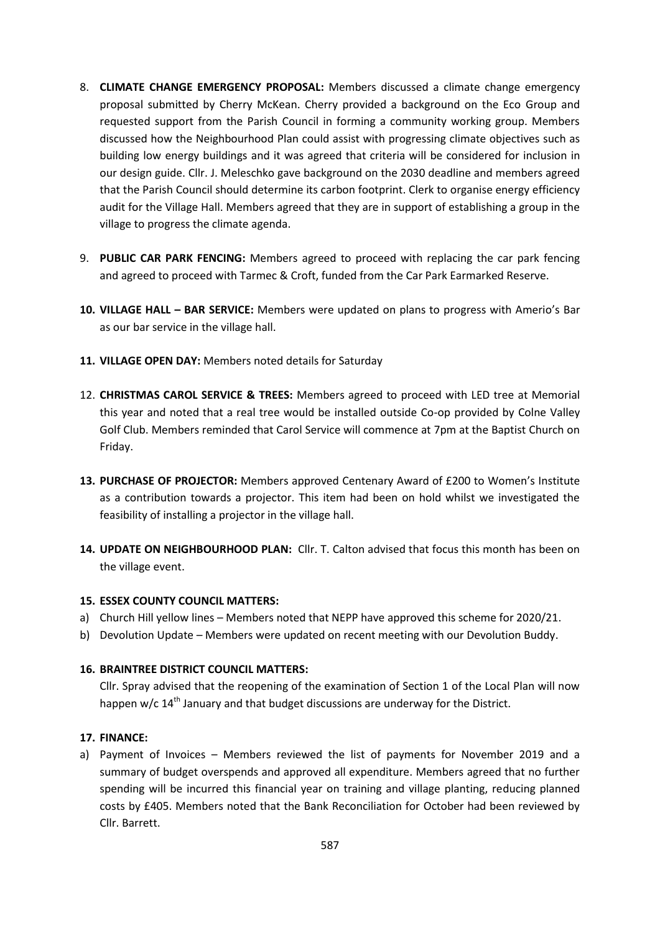- 8. **CLIMATE CHANGE EMERGENCY PROPOSAL:** Members discussed a climate change emergency proposal submitted by Cherry McKean. Cherry provided a background on the Eco Group and requested support from the Parish Council in forming a community working group. Members discussed how the Neighbourhood Plan could assist with progressing climate objectives such as building low energy buildings and it was agreed that criteria will be considered for inclusion in our design guide. Cllr. J. Meleschko gave background on the 2030 deadline and members agreed that the Parish Council should determine its carbon footprint. Clerk to organise energy efficiency audit for the Village Hall. Members agreed that they are in support of establishing a group in the village to progress the climate agenda.
- 9. **PUBLIC CAR PARK FENCING:** Members agreed to proceed with replacing the car park fencing and agreed to proceed with Tarmec & Croft, funded from the Car Park Earmarked Reserve.
- **10. VILLAGE HALL – BAR SERVICE:** Members were updated on plans to progress with Amerio's Bar as our bar service in the village hall.
- **11. VILLAGE OPEN DAY:** Members noted details for Saturday
- 12. **CHRISTMAS CAROL SERVICE & TREES:** Members agreed to proceed with LED tree at Memorial this year and noted that a real tree would be installed outside Co-op provided by Colne Valley Golf Club. Members reminded that Carol Service will commence at 7pm at the Baptist Church on Friday.
- **13. PURCHASE OF PROJECTOR:** Members approved Centenary Award of £200 to Women's Institute as a contribution towards a projector. This item had been on hold whilst we investigated the feasibility of installing a projector in the village hall.
- **14. UPDATE ON NEIGHBOURHOOD PLAN:** Cllr. T. Calton advised that focus this month has been on the village event.

## **15. ESSEX COUNTY COUNCIL MATTERS:**

- a) Church Hill yellow lines Members noted that NEPP have approved this scheme for 2020/21.
- b) Devolution Update Members were updated on recent meeting with our Devolution Buddy.

## **16. BRAINTREE DISTRICT COUNCIL MATTERS:**

Cllr. Spray advised that the reopening of the examination of Section 1 of the Local Plan will now happen w/c  $14<sup>th</sup>$  January and that budget discussions are underway for the District.

## **17. FINANCE:**

a) Payment of Invoices – Members reviewed the list of payments for November 2019 and a summary of budget overspends and approved all expenditure. Members agreed that no further spending will be incurred this financial year on training and village planting, reducing planned costs by £405. Members noted that the Bank Reconciliation for October had been reviewed by Cllr. Barrett.